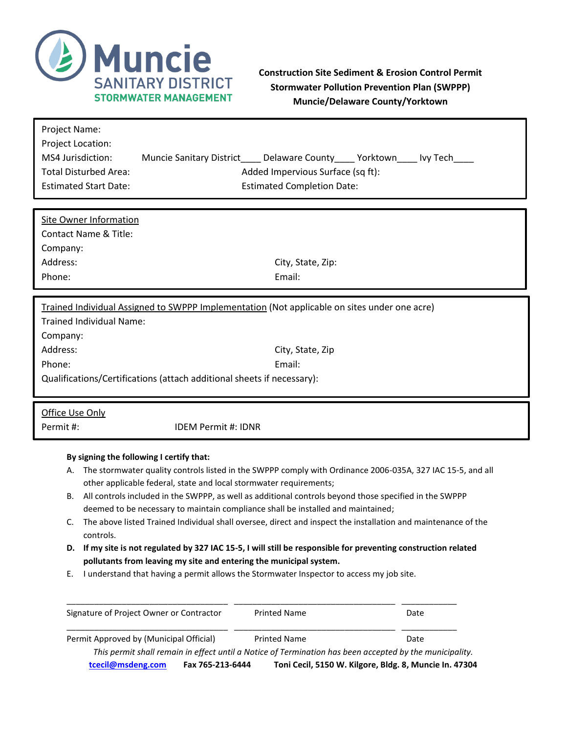

## **Construction Site Sediment & Erosion Control Permit Stormwater Pollution Prevention Plan (SWPPP) Muncie/Delaware County/Yorktown**

| Project Name:<br>Project Location:<br>MS4 Jurisdiction:<br><b>Total Disturbed Area:</b><br><b>Estimated Start Date:</b> | Muncie Sanitary District                                           | Delaware County_____ Yorktown___<br>Added Impervious Surface (sq ft):<br><b>Estimated Completion Date:</b>                                                                                                                                                                                                                                                                                                                                                                             | lvy Tech |
|-------------------------------------------------------------------------------------------------------------------------|--------------------------------------------------------------------|----------------------------------------------------------------------------------------------------------------------------------------------------------------------------------------------------------------------------------------------------------------------------------------------------------------------------------------------------------------------------------------------------------------------------------------------------------------------------------------|----------|
| <b>Site Owner Information</b>                                                                                           |                                                                    |                                                                                                                                                                                                                                                                                                                                                                                                                                                                                        |          |
| Contact Name & Title:                                                                                                   |                                                                    |                                                                                                                                                                                                                                                                                                                                                                                                                                                                                        |          |
| Company:                                                                                                                |                                                                    |                                                                                                                                                                                                                                                                                                                                                                                                                                                                                        |          |
| Address:                                                                                                                |                                                                    | City, State, Zip:                                                                                                                                                                                                                                                                                                                                                                                                                                                                      |          |
| Phone:                                                                                                                  |                                                                    | Email:                                                                                                                                                                                                                                                                                                                                                                                                                                                                                 |          |
|                                                                                                                         |                                                                    |                                                                                                                                                                                                                                                                                                                                                                                                                                                                                        |          |
|                                                                                                                         |                                                                    | Trained Individual Assigned to SWPPP Implementation (Not applicable on sites under one acre)                                                                                                                                                                                                                                                                                                                                                                                           |          |
| <b>Trained Individual Name:</b>                                                                                         |                                                                    |                                                                                                                                                                                                                                                                                                                                                                                                                                                                                        |          |
| Company:                                                                                                                |                                                                    |                                                                                                                                                                                                                                                                                                                                                                                                                                                                                        |          |
| Address:                                                                                                                |                                                                    | City, State, Zip                                                                                                                                                                                                                                                                                                                                                                                                                                                                       |          |
| Email:<br>Phone:                                                                                                        |                                                                    |                                                                                                                                                                                                                                                                                                                                                                                                                                                                                        |          |
| Qualifications/Certifications (attach additional sheets if necessary):                                                  |                                                                    |                                                                                                                                                                                                                                                                                                                                                                                                                                                                                        |          |
|                                                                                                                         |                                                                    |                                                                                                                                                                                                                                                                                                                                                                                                                                                                                        |          |
| Office Use Only                                                                                                         |                                                                    |                                                                                                                                                                                                                                                                                                                                                                                                                                                                                        |          |
| Permit#:<br><b>IDEM Permit #: IDNR</b>                                                                                  |                                                                    |                                                                                                                                                                                                                                                                                                                                                                                                                                                                                        |          |
| By signing the following I certify that:<br>А.<br>В.                                                                    | other applicable federal, state and local stormwater requirements; | The stormwater quality controls listed in the SWPPP comply with Ordinance 2006-035A, 327 IAC 15-5, and all<br>All controls included in the SWPPP, as well as additional controls beyond those specified in the SWPPP                                                                                                                                                                                                                                                                   |          |
| C.<br>controls.<br>Ε.                                                                                                   |                                                                    | deemed to be necessary to maintain compliance shall be installed and maintained;<br>The above listed Trained Individual shall oversee, direct and inspect the installation and maintenance of the<br>D. If my site is not regulated by 327 IAC 15-5, I will still be responsible for preventing construction related<br>pollutants from leaving my site and entering the municipal system.<br>I understand that having a permit allows the Stormwater Inspector to access my job site. |          |
|                                                                                                                         | Signature of Project Owner or Contractor                           | <b>Printed Name</b>                                                                                                                                                                                                                                                                                                                                                                                                                                                                    | Date     |

*This permit shall remain in effect until a Notice of Termination has been accepted by the municipality.* **[tcecil@msdeng.com](mailto:tcecil@msdeng.com) Fax 765-213-6444 Toni Cecil, 5150 W. Kilgore, Bldg. 8, Muncie In. 47304**